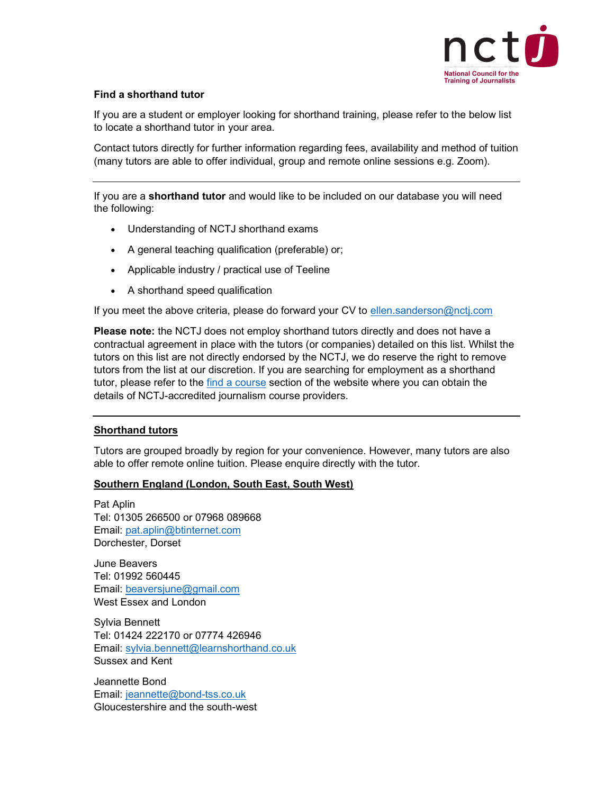

### Find a shorthand tutor

If you are a student or employer looking for shorthand training, please refer to the below list to locate a shorthand tutor in your area.

Contact tutors directly for further information regarding fees, availability and method of tuition (many tutors are able to offer individual, group and remote online sessions e.g. Zoom).

If you are a shorthand tutor and would like to be included on our database you will need the following:

- Understanding of NCTJ shorthand exams
- A general teaching qualification (preferable) or;
- Applicable industry / practical use of Teeline
- A shorthand speed qualification

If you meet the above criteria, please do forward your CV to ellen.sanderson@nctj.com

Please note: the NCTJ does not employ shorthand tutors directly and does not have a contractual agreement in place with the tutors (or companies) detailed on this list. Whilst the tutors on this list are not directly endorsed by the NCTJ, we do reserve the right to remove tutors from the list at our discretion. If you are searching for employment as a shorthand tutor, please refer to the find a course section of the website where you can obtain the details of NCTJ-accredited journalism course providers.

### Shorthand tutors

Tutors are grouped broadly by region for your convenience. However, many tutors are also able to offer remote online tuition. Please enquire directly with the tutor.

### Southern England (London, South East, South West)

Pat Aplin Tel: 01305 266500 or 07968 089668 Email: pat.aplin@btinternet.com Dorchester, Dorset

June Beavers Tel: 01992 560445 Email: beaversjune@gmail.com West Essex and London

Sylvia Bennett Tel: 01424 222170 or 07774 426946 Email: sylvia.bennett@learnshorthand.co.uk Sussex and Kent

Jeannette Bond Email: jeannette@bond-tss.co.uk Gloucestershire and the south-west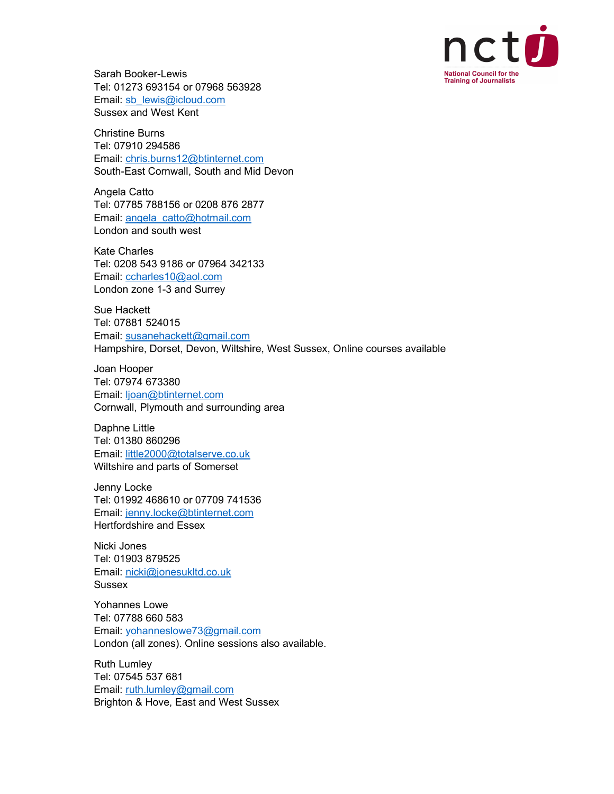

Sarah Booker-Lewis Tel: 01273 693154 or 07968 563928 Email: sb\_lewis@icloud.com Sussex and West Kent

Christine Burns Tel: 07910 294586 Email: chris.burns12@btinternet.com South-East Cornwall, South and Mid Devon

Angela Catto Tel: 07785 788156 or 0208 876 2877 Email: angela\_catto@hotmail.com London and south west

Kate Charles Tel: 0208 543 9186 or 07964 342133 Email: ccharles10@aol.com London zone 1-3 and Surrey

Sue Hackett Tel: 07881 524015 Email: susanehackett@gmail.com Hampshire, Dorset, Devon, Wiltshire, West Sussex, Online courses available

Joan Hooper Tel: 07974 673380 Email: ljoan@btinternet.com Cornwall, Plymouth and surrounding area

Daphne Little Tel: 01380 860296 Email: little2000@totalserve.co.uk Wiltshire and parts of Somerset

Jenny Locke Tel: 01992 468610 or 07709 741536 Email: jenny.locke@btinternet.com Hertfordshire and Essex

Nicki Jones Tel: 01903 879525 Email: nicki@jonesukltd.co.uk Sussex

Yohannes Lowe Tel: 07788 660 583 Email: yohanneslowe73@gmail.com London (all zones). Online sessions also available.

Ruth Lumley Tel: 07545 537 681 Email: ruth.lumley@gmail.com Brighton & Hove, East and West Sussex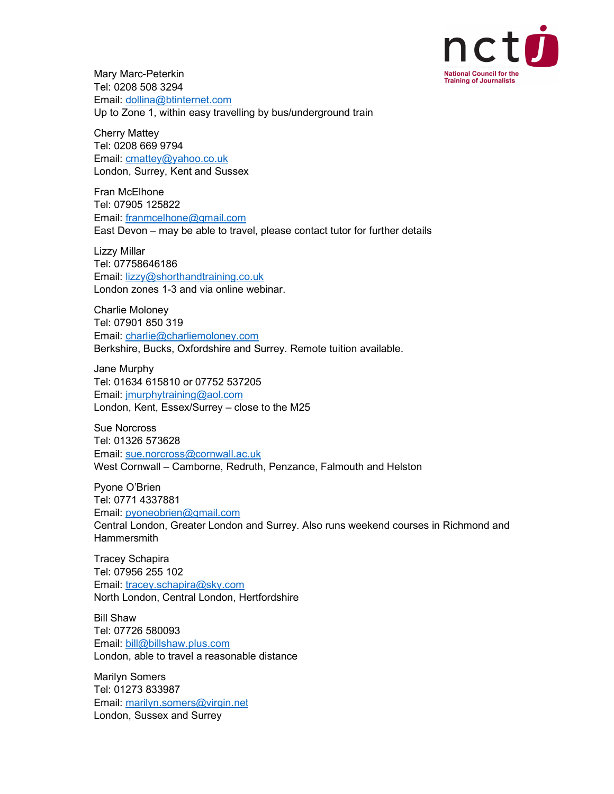

Mary Marc-Peterkin Tel: 0208 508 3294 Email: dollina@btinternet.com Up to Zone 1, within easy travelling by bus/underground train

Cherry Mattey Tel: 0208 669 9794 Email: cmattey@yahoo.co.uk London, Surrey, Kent and Sussex

Fran McElhone Tel: 07905 125822 Email: franmcelhone@gmail.com East Devon – may be able to travel, please contact tutor for further details

Lizzy Millar Tel: 07758646186 Email: lizzy@shorthandtraining.co.uk London zones 1-3 and via online webinar.

Charlie Moloney Tel: 07901 850 319 Email: charlie@charliemoloney.com Berkshire, Bucks, Oxfordshire and Surrey. Remote tuition available.

Jane Murphy Tel: 01634 615810 or 07752 537205 Email: jmurphytraining@aol.com London, Kent, Essex/Surrey – close to the M25

Sue Norcross Tel: 01326 573628 Email: sue.norcross@cornwall.ac.uk West Cornwall – Camborne, Redruth, Penzance, Falmouth and Helston

Pyone O'Brien Tel: 0771 4337881 Email: pyoneobrien@gmail.com Central London, Greater London and Surrey. Also runs weekend courses in Richmond and Hammersmith

Tracey Schapira Tel: 07956 255 102 Email: tracey.schapira@sky.com North London, Central London, Hertfordshire

Bill Shaw Tel: 07726 580093 Email: bill@billshaw.plus.com London, able to travel a reasonable distance

Marilyn Somers Tel: 01273 833987 Email: marilyn.somers@virgin.net London, Sussex and Surrey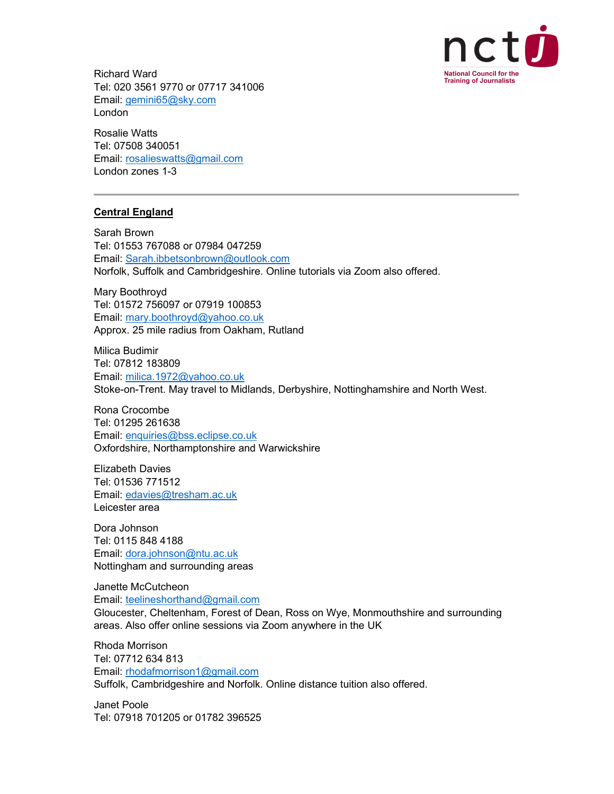

Richard Ward Tel: 020 3561 9770 or 07717 341006 Email: gemini65@sky.com London

Rosalie Watts Tel: 07508 340051 Email: rosalieswatts@gmail.com London zones 1-3

## Central England

Sarah Brown Tel: 01553 767088 or 07984 047259 Email: Sarah.ibbetsonbrown@outlook.com Norfolk, Suffolk and Cambridgeshire. Online tutorials via Zoom also offered.

Mary Boothroyd Tel: 01572 756097 or 07919 100853 Email: mary.boothroyd@yahoo.co.uk Approx. 25 mile radius from Oakham, Rutland

Milica Budimir Tel: 07812 183809 Email: milica.1972@yahoo.co.uk Stoke-on-Trent. May travel to Midlands, Derbyshire, Nottinghamshire and North West.

Rona Crocombe Tel: 01295 261638 Email: enquiries@bss.eclipse.co.uk Oxfordshire, Northamptonshire and Warwickshire

Elizabeth Davies Tel: 01536 771512 Email: edavies@tresham.ac.uk Leicester area

Dora Johnson Tel: 0115 848 4188 Email: dora.johnson@ntu.ac.uk Nottingham and surrounding areas

Janette McCutcheon Email: teelineshorthand@gmail.com Gloucester, Cheltenham, Forest of Dean, Ross on Wye, Monmouthshire and surrounding areas. Also offer online sessions via Zoom anywhere in the UK

Rhoda Morrison Tel: 07712 634 813 Email: rhodafmorrison1@gmail.com Suffolk, Cambridgeshire and Norfolk. Online distance tuition also offered.

Janet Poole Tel: 07918 701205 or 01782 396525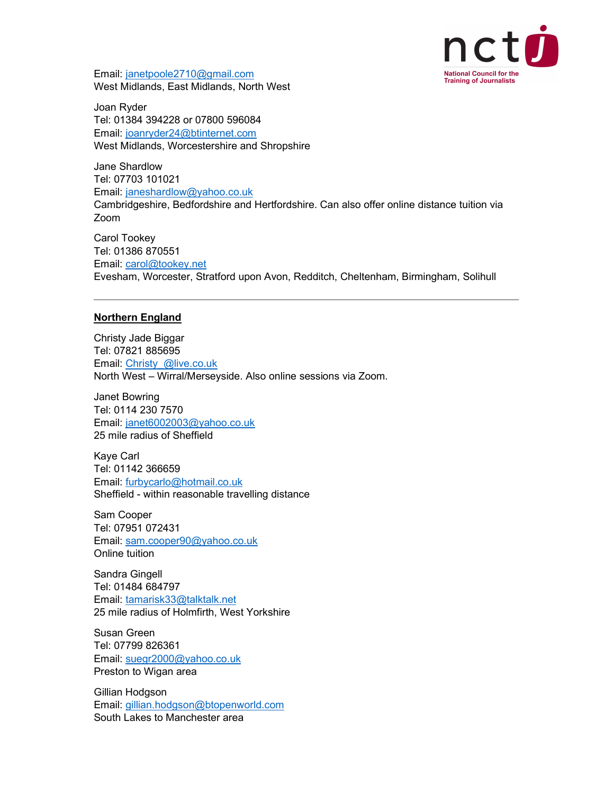

Email: janetpoole2710@gmail.com West Midlands, East Midlands, North West

Joan Ryder Tel: 01384 394228 or 07800 596084 Email: joanryder24@btinternet.com West Midlands, Worcestershire and Shropshire

Jane Shardlow Tel: 07703 101021 Email: janeshardlow@yahoo.co.uk Cambridgeshire, Bedfordshire and Hertfordshire. Can also offer online distance tuition via Zoom

Carol Tookey Tel: 01386 870551 Email: carol@tookey.net Evesham, Worcester, Stratford upon Avon, Redditch, Cheltenham, Birmingham, Solihull

#### Northern England

Christy Jade Biggar Tel: 07821 885695 Email: Christy\_@live.co.uk North West – Wirral/Merseyside. Also online sessions via Zoom.

Janet Bowring Tel: 0114 230 7570 Email: janet6002003@yahoo.co.uk 25 mile radius of Sheffield

Kaye Carl Tel: 01142 366659 Email: furbycarlo@hotmail.co.uk Sheffield - within reasonable travelling distance

Sam Cooper Tel: 07951 072431 Email: sam.cooper90@yahoo.co.uk Online tuition

Sandra Gingell Tel: 01484 684797 Email: tamarisk33@talktalk.net 25 mile radius of Holmfirth, West Yorkshire

Susan Green Tel: 07799 826361 Email: suegr2000@yahoo.co.uk Preston to Wigan area

Gillian Hodgson Email: gillian.hodgson@btopenworld.com South Lakes to Manchester area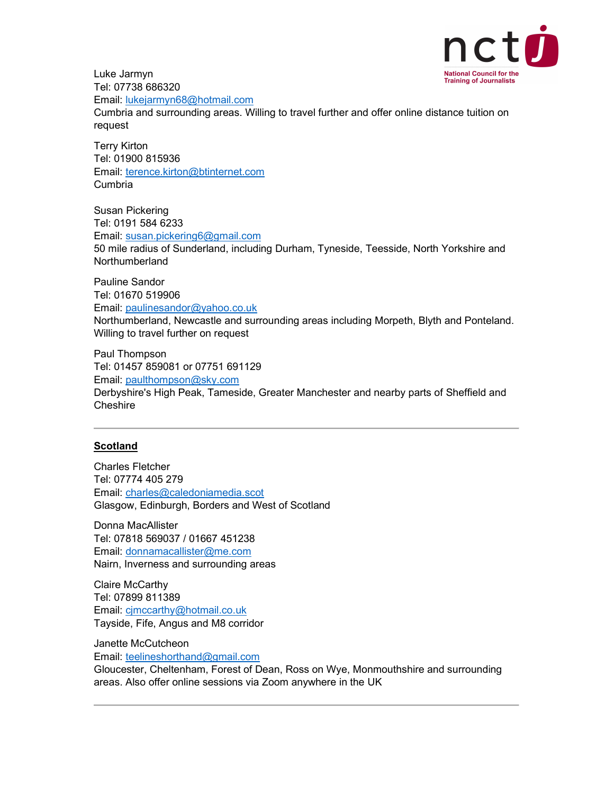

Luke Jarmyn Tel: 07738 686320

Email: lukejarmyn68@hotmail.com

Cumbria and surrounding areas. Willing to travel further and offer online distance tuition on request

Terry Kirton Tel: 01900 815936 Email: terence.kirton@btinternet.com Cumbria

Susan Pickering Tel: 0191 584 6233 Email: susan.pickering6@gmail.com 50 mile radius of Sunderland, including Durham, Tyneside, Teesside, North Yorkshire and Northumberland

Pauline Sandor Tel: 01670 519906 Email: paulinesandor@yahoo.co.uk Northumberland, Newcastle and surrounding areas including Morpeth, Blyth and Ponteland. Willing to travel further on request

Paul Thompson Tel: 01457 859081 or 07751 691129 Email: paulthompson@sky.com Derbyshire's High Peak, Tameside, Greater Manchester and nearby parts of Sheffield and **Cheshire** 

## **Scotland**

Charles Fletcher Tel: 07774 405 279 Email: charles@caledoniamedia.scot Glasgow, Edinburgh, Borders and West of Scotland

Donna MacAllister Tel: 07818 569037 / 01667 451238 Email: donnamacallister@me.com Nairn, Inverness and surrounding areas

Claire McCarthy Tel: 07899 811389 Email: cjmccarthy@hotmail.co.uk Tayside, Fife, Angus and M8 corridor

Janette McCutcheon Email: teelineshorthand@gmail.com Gloucester, Cheltenham, Forest of Dean, Ross on Wye, Monmouthshire and surrounding areas. Also offer online sessions via Zoom anywhere in the UK